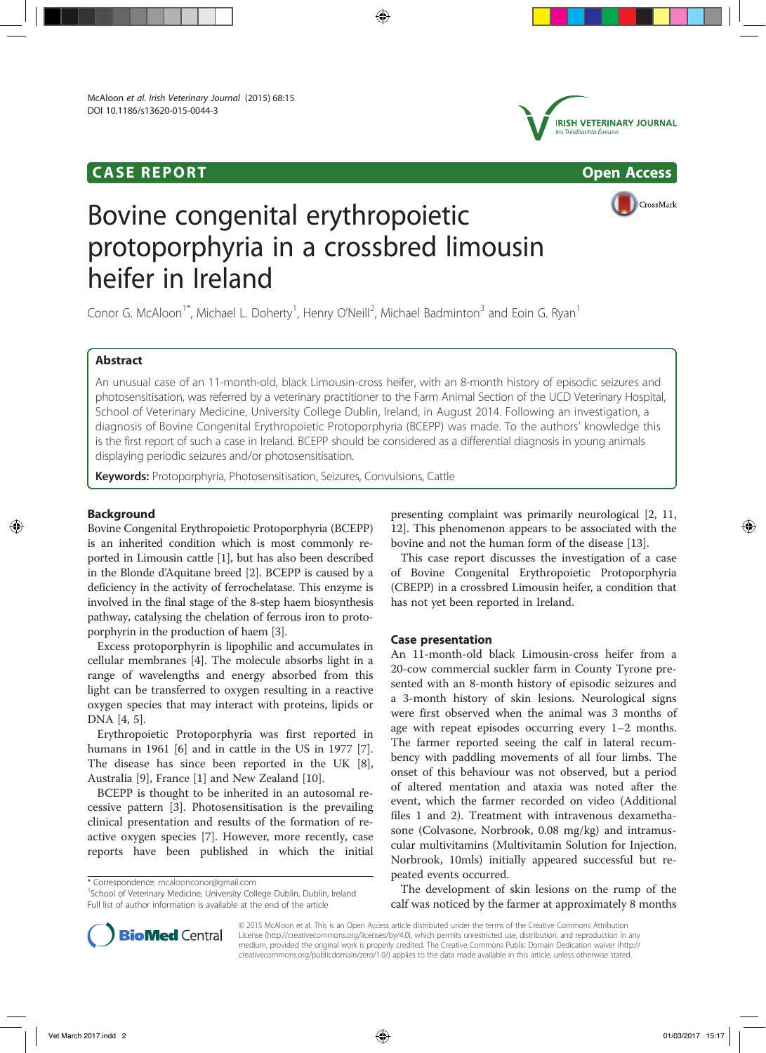# CASE REPORT Open Access





CrossMark

# Bovine congenital erythropoietic protoporphyria in a crossbred limousin heifer in Ireland

Conor G. McAloon<sup>1\*</sup>, Michael L. Doherty<sup>1</sup>, Henry O'Neill<sup>2</sup>, Michael Badminton<sup>3</sup> and Eoin G. Ryan<sup>1</sup>

# Abstract

An unusual case of an 11-month-old, black Limousin-cross heifer, with an 8-month history of episodic seizures and photosensitisation, was referred by a veterinary practitioner to the Farm Animal Section of the UCD Veterinary Hospital, School of Veterinary Medicine, University College Dublin, Ireland, in August 2014. Following an investigation, a diagnosis of Bovine Congenital Erythropoietic Protoporphyria (BCEPP) was made. To the authors' knowledge this is the first report of such a case in Ireland. BCEPP should be considered as a differential diagnosis in young animals displaying periodic seizures and/or photosensitisation.

Keywords: Protoporphyria, Photosensitisation, Seizures, Convulsions, Cattle

## Background

Bovine Congenital Erythropoietic Protoporphyria (BCEPP) is an inherited condition which is most commonly reported in Limousin cattle [1], but has also been described in the Blonde d'Aquitane breed [2]. BCEPP is caused by a deficiency in the activity of ferrochelatase. This enzyme is involved in the final stage of the 8-step haem biosynthesis pathway, catalysing the chelation of ferrous iron to protoporphyrin in the production of haem [3].

Excess protoporphyrin is lipophilic and accumulates in cellular membranes [4]. The molecule absorbs light in a range of wavelengths and energy absorbed from this light can be transferred to oxygen resulting in a reactive oxygen species that may interact with proteins, lipids or DNA [4, 5].

Erythropoietic Protoporphyria was first reported in humans in 1961 [6] and in cattle in the US in 1977 [7]. The disease has since been reported in the UK [8], Australia [9], France [1] and New Zealand [10].

BCEPP is thought to be inherited in an autosomal recessive pattern [3]. Photosensitisation is the prevailing clinical presentation and results of the formation of reactive oxygen species [7]. However, more recently, case reports have been published in which the initial

\* Correspondence: mcaloonconor@gmail.com <sup>1</sup>

<sup>1</sup>School of Veterinary Medicine, University College Dublin, Dublin, Ireland Full list of author information is available at the end of the article

presenting complaint was primarily neurological [2, 11, 12]. This phenomenon appears to be associated with the bovine and not the human form of the disease [13].

This case report discusses the investigation of a case of Bovine Congenital Erythropoietic Protoporphyria (CBEPP) in a crossbred Limousin heifer, a condition that has not yet been reported in Ireland.

## Case presentation

An 11-month-old black Limousin-cross heifer from a 20-cow commercial suckler farm in County Tyrone presented with an 8-month history of episodic seizures and a 3-month history of skin lesions. Neurological signs were first observed when the animal was 3 months of age with repeat episodes occurring every 1–2 months. The farmer reported seeing the calf in lateral recumbency with paddling movements of all four limbs. The onset of this behaviour was not observed, but a period of altered mentation and ataxia was noted after the event, which the farmer recorded on video (Additional files 1 and 2). Treatment with intravenous dexamethasone (Colvasone, Norbrook, 0.08 mg/kg) and intramuscular multivitamins (Multivitamin Solution for Injection, Norbrook, 10mls) initially appeared successful but repeated events occurred.

The development of skin lesions on the rump of the calf was noticed by the farmer at approximately 8 months



© 2015 McAloon et al. This is an Open Access article distributed under the terms of the Creative Commons Attribution License (http://creativecommons.org/licenses/by/4.0), which permits unrestricted use, distribution, and reproduction in any medium, provided the original work is properly credited. The Creative Commons Public Domain Dedication waiver (http:// creativecommons.org/publicdomain/zero/1.0/) applies to the data made available in this article, unless otherwise stated.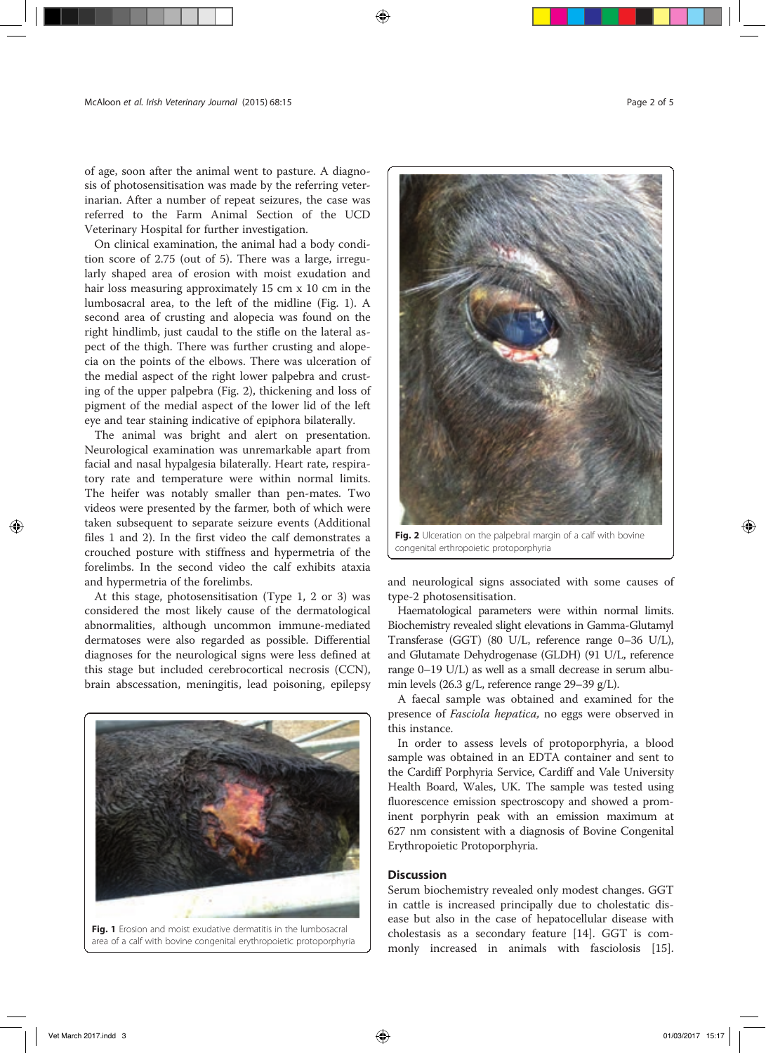of age, soon after the animal went to pasture. A diagnosis of photosensitisation was made by the referring veterinarian. After a number of repeat seizures, the case was referred to the Farm Animal Section of the UCD Veterinary Hospital for further investigation.

On clinical examination, the animal had a body condition score of 2.75 (out of 5). There was a large, irregularly shaped area of erosion with moist exudation and hair loss measuring approximately 15 cm x 10 cm in the lumbosacral area, to the left of the midline (Fig. 1). A second area of crusting and alopecia was found on the right hindlimb, just caudal to the stifle on the lateral aspect of the thigh. There was further crusting and alopecia on the points of the elbows. There was ulceration of the medial aspect of the right lower palpebra and crusting of the upper palpebra (Fig. 2), thickening and loss of pigment of the medial aspect of the lower lid of the left eye and tear staining indicative of epiphora bilaterally.

The animal was bright and alert on presentation. Neurological examination was unremarkable apart from facial and nasal hypalgesia bilaterally. Heart rate, respiratory rate and temperature were within normal limits. The heifer was notably smaller than pen-mates. Two videos were presented by the farmer, both of which were taken subsequent to separate seizure events (Additional files 1 and 2). In the first video the calf demonstrates a crouched posture with stiffness and hypermetria of the forelimbs. In the second video the calf exhibits ataxia and hypermetria of the forelimbs.

At this stage, photosensitisation (Type 1, 2 or 3) was considered the most likely cause of the dermatological abnormalities, although uncommon immune-mediated dermatoses were also regarded as possible. Differential diagnoses for the neurological signs were less defined at this stage but included cerebrocortical necrosis (CCN), brain abscessation, meningitis, lead poisoning, epilepsy





Fig. 2 Ulceration on the palpebral margin of a calf with bovine congenital erthropoietic protoporphyria

and neurological signs associated with some causes of type-2 photosensitisation.

Haematological parameters were within normal limits. Biochemistry revealed slight elevations in Gamma-Glutamyl Transferase (GGT) (80 U/L, reference range 0–36 U/L), and Glutamate Dehydrogenase (GLDH) (91 U/L, reference range 0–19 U/L) as well as a small decrease in serum albumin levels (26.3 g/L, reference range 29–39 g/L).

A faecal sample was obtained and examined for the presence of Fasciola hepatica, no eggs were observed in this instance.

In order to assess levels of protoporphyria, a blood sample was obtained in an EDTA container and sent to the Cardiff Porphyria Service, Cardiff and Vale University Health Board, Wales, UK. The sample was tested using fluorescence emission spectroscopy and showed a prominent porphyrin peak with an emission maximum at 627 nm consistent with a diagnosis of Bovine Congenital Erythropoietic Protoporphyria.

## **Discussion**

Serum biochemistry revealed only modest changes. GGT in cattle is increased principally due to cholestatic disease but also in the case of hepatocellular disease with cholestasis as a secondary feature [14]. GGT is commonly increased in animals with fasciolosis [15].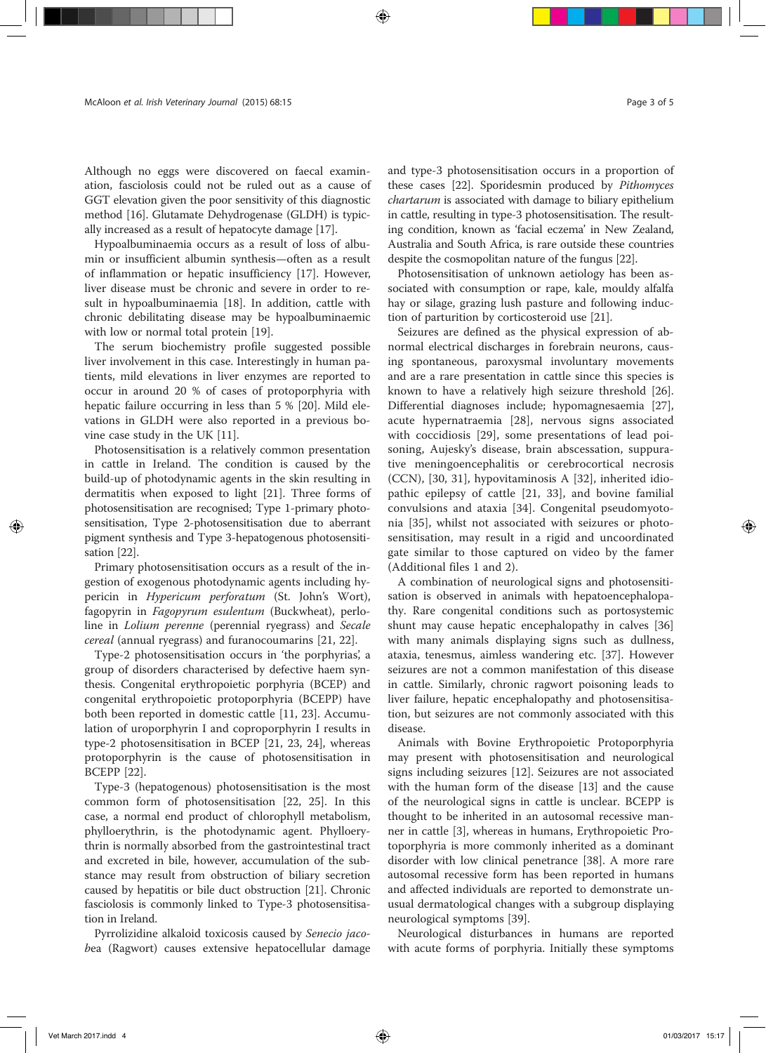Although no eggs were discovered on faecal examination, fasciolosis could not be ruled out as a cause of GGT elevation given the poor sensitivity of this diagnostic method [16]. Glutamate Dehydrogenase (GLDH) is typically increased as a result of hepatocyte damage [17].

Hypoalbuminaemia occurs as a result of loss of albumin or insufficient albumin synthesis—often as a result of inflammation or hepatic insufficiency [17]. However, liver disease must be chronic and severe in order to result in hypoalbuminaemia [18]. In addition, cattle with chronic debilitating disease may be hypoalbuminaemic with low or normal total protein [19].

The serum biochemistry profile suggested possible liver involvement in this case. Interestingly in human patients, mild elevations in liver enzymes are reported to occur in around 20 % of cases of protoporphyria with hepatic failure occurring in less than 5 % [20]. Mild elevations in GLDH were also reported in a previous bovine case study in the UK [11].

Photosensitisation is a relatively common presentation in cattle in Ireland. The condition is caused by the build-up of photodynamic agents in the skin resulting in dermatitis when exposed to light [21]. Three forms of photosensitisation are recognised; Type 1-primary photosensitisation, Type 2-photosensitisation due to aberrant pigment synthesis and Type 3-hepatogenous photosensitisation [22].

Primary photosensitisation occurs as a result of the ingestion of exogenous photodynamic agents including hypericin in Hypericum perforatum (St. John's Wort), fagopyrin in Fagopyrum esulentum (Buckwheat), perloline in Lolium perenne (perennial ryegrass) and Secale cereal (annual ryegrass) and furanocoumarins [21, 22].

Type-2 photosensitisation occurs in 'the porphyrias', a group of disorders characterised by defective haem synthesis. Congenital erythropoietic porphyria (BCEP) and congenital erythropoietic protoporphyria (BCEPP) have both been reported in domestic cattle [11, 23]. Accumulation of uroporphyrin I and coproporphyrin I results in type-2 photosensitisation in BCEP [21, 23, 24], whereas protoporphyrin is the cause of photosensitisation in BCEPP [22].

Type-3 (hepatogenous) photosensitisation is the most common form of photosensitisation [22, 25]. In this case, a normal end product of chlorophyll metabolism, phylloerythrin, is the photodynamic agent. Phylloerythrin is normally absorbed from the gastrointestinal tract and excreted in bile, however, accumulation of the substance may result from obstruction of biliary secretion caused by hepatitis or bile duct obstruction [21]. Chronic fasciolosis is commonly linked to Type-3 photosensitisation in Ireland.

Pyrrolizidine alkaloid toxicosis caused by Senecio jacobea (Ragwort) causes extensive hepatocellular damage and type-3 photosensitisation occurs in a proportion of these cases [22]. Sporidesmin produced by Pithomyces chartarum is associated with damage to biliary epithelium in cattle, resulting in type-3 photosensitisation. The resulting condition, known as 'facial eczema' in New Zealand, Australia and South Africa, is rare outside these countries despite the cosmopolitan nature of the fungus [22].

Photosensitisation of unknown aetiology has been associated with consumption or rape, kale, mouldy alfalfa hay or silage, grazing lush pasture and following induction of parturition by corticosteroid use [21].

Seizures are defined as the physical expression of abnormal electrical discharges in forebrain neurons, causing spontaneous, paroxysmal involuntary movements and are a rare presentation in cattle since this species is known to have a relatively high seizure threshold [26]. Differential diagnoses include; hypomagnesaemia [27], acute hypernatraemia [28], nervous signs associated with coccidiosis [29], some presentations of lead poisoning, Aujesky's disease, brain abscessation, suppurative meningoencephalitis or cerebrocortical necrosis (CCN), [30, 31], hypovitaminosis A [32], inherited idiopathic epilepsy of cattle [21, 33], and bovine familial convulsions and ataxia [34]. Congenital pseudomyotonia [35], whilst not associated with seizures or photosensitisation, may result in a rigid and uncoordinated gate similar to those captured on video by the famer (Additional files 1 and 2).

A combination of neurological signs and photosensitisation is observed in animals with hepatoencephalopathy. Rare congenital conditions such as portosystemic shunt may cause hepatic encephalopathy in calves [36] with many animals displaying signs such as dullness, ataxia, tenesmus, aimless wandering etc. [37]. However seizures are not a common manifestation of this disease in cattle. Similarly, chronic ragwort poisoning leads to liver failure, hepatic encephalopathy and photosensitisation, but seizures are not commonly associated with this disease.

Animals with Bovine Erythropoietic Protoporphyria may present with photosensitisation and neurological signs including seizures [12]. Seizures are not associated with the human form of the disease [13] and the cause of the neurological signs in cattle is unclear. BCEPP is thought to be inherited in an autosomal recessive manner in cattle [3], whereas in humans, Erythropoietic Protoporphyria is more commonly inherited as a dominant disorder with low clinical penetrance [38]. A more rare autosomal recessive form has been reported in humans and affected individuals are reported to demonstrate unusual dermatological changes with a subgroup displaying neurological symptoms [39].

Neurological disturbances in humans are reported with acute forms of porphyria. Initially these symptoms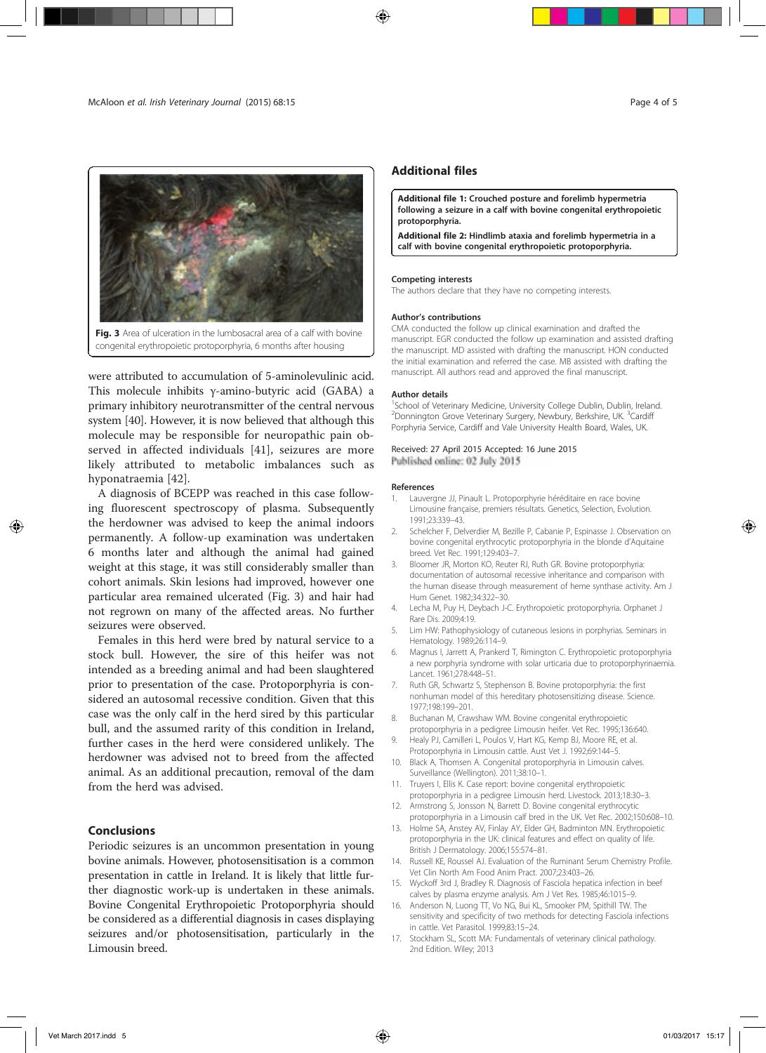

were attributed to accumulation of 5-aminolevulinic acid. This molecule inhibits γ-amino-butyric acid (GABA) a primary inhibitory neurotransmitter of the central nervous system [40]. However, it is now believed that although this molecule may be responsible for neuropathic pain observed in affected individuals [41], seizures are more likely attributed to metabolic imbalances such as hyponatraemia [42].

A diagnosis of BCEPP was reached in this case following fluorescent spectroscopy of plasma. Subsequently the herdowner was advised to keep the animal indoors permanently. A follow-up examination was undertaken 6 months later and although the animal had gained weight at this stage, it was still considerably smaller than cohort animals. Skin lesions had improved, however one particular area remained ulcerated (Fig. 3) and hair had not regrown on many of the affected areas. No further seizures were observed.

Females in this herd were bred by natural service to a stock bull. However, the sire of this heifer was not intended as a breeding animal and had been slaughtered prior to presentation of the case. Protoporphyria is considered an autosomal recessive condition. Given that this case was the only calf in the herd sired by this particular bull, and the assumed rarity of this condition in Ireland, further cases in the herd were considered unlikely. The herdowner was advised not to breed from the affected animal. As an additional precaution, removal of the dam from the herd was advised.

## Conclusions

Periodic seizures is an uncommon presentation in young bovine animals. However, photosensitisation is a common presentation in cattle in Ireland. It is likely that little further diagnostic work-up is undertaken in these animals. Bovine Congenital Erythropoietic Protoporphyria should be considered as a differential diagnosis in cases displaying seizures and/or photosensitisation, particularly in the Limousin breed.

### Additional files

Additional file 1: Crouched posture and forelimb hypermetria following a seizure in a calf with bovine congenital erythropoietic protoporphyria.

Additional file 2: Hindlimb ataxia and forelimb hypermetria in a calf with bovine congenital erythropoietic protoporphyria.

#### Competing interests

The authors declare that they have no competing interests.

#### Author's contributions

CMA conducted the follow up clinical examination and drafted the manuscript. EGR conducted the follow up examination and assisted drafting the manuscript. MD assisted with drafting the manuscript. HON conducted the initial examination and referred the case. MB assisted with drafting the manuscript. All authors read and approved the final manuscript.

#### Author details

<sup>1</sup>School of Veterinary Medicine, University College Dublin, Dublin, Ireland. <sup>2</sup>Donnington Grove Veterinary Surgery, Newbury, Berkshire, UK. <sup>3</sup>Cardiff Porphyria Service, Cardiff and Vale University Health Board, Wales, UK.

#### Received: 27 April 2015 Accepted: 16 June 2015 Published online: 02 July 2015

#### References

- 1. Lauvergne JJ, Pinault L. Protoporphyrie héréditaire en race bovine Limousine française, premiers résultats. Genetics, Selection, Evolution. 1991;23:339–43.
- 2. Schelcher F, Delverdier M, Bezille P, Cabanie P, Espinasse J. Observation on bovine congenital erythrocytic protoporphyria in the blonde d'Aquitaine breed. Vet Rec. 1991;129:403–7.
- 3. Bloomer JR, Morton KO, Reuter RJ, Ruth GR. Bovine protoporphyria: documentation of autosomal recessive inheritance and comparison with the human disease through measurement of heme synthase activity. Am J Hum Genet. 1982;34:322–30.
- 4. Lecha M, Puy H, Deybach J-C. Erythropoietic protoporphyria. Orphanet J Rare Dis. 2009;4:19.
- 5. Lim HW: Pathophysiology of cutaneous lesions in porphyrias. Seminars in Hematology. 1989;26:114–9.
- 6. Magnus I, Jarrett A, Prankerd T, Rimington C. Erythropoietic protoporphyria a new porphyria syndrome with solar urticaria due to protoporphyrinaemia. Lancet. 1961;278:448–51.
- 7. Ruth GR, Schwartz S, Stephenson B. Bovine protoporphyria: the first nonhuman model of this hereditary photosensitizing disease. Science. 1977;198:199–201.
- 8. Buchanan M, Crawshaw WM. Bovine congenital erythropoietic protoporphyria in a pedigree Limousin heifer. Vet Rec. 1995;136:640.
- 9. Healy PJ, Camilleri L, Poulos V, Hart KG, Kemp BJ, Moore RE, et al. Protoporphyria in Limousin cattle. Aust Vet J. 1992;69:144–5.
- 10. Black A, Thomsen A. Congenital protoporphyria in Limousin calves. Surveillance (Wellington). 2011;38:10–1.
- 11. Truyers I, Ellis K. Case report: bovine congenital erythropoietic protoporphyria in a pedigree Limousin herd. Livestock. 2013;18:30–3.
- 12. Armstrong S, Jonsson N, Barrett D. Bovine congenital erythrocytic protoporphyria in a Limousin calf bred in the UK. Vet Rec. 2002;150:608–10.
- 13. Holme SA, Anstey AV, Finlay AY, Elder GH, Badminton MN. Erythropoietic protoporphyria in the UK: clinical features and effect on quality of life. British J Dermatology. 2006;155:574–81.
- 14. Russell KE, Roussel AJ. Evaluation of the Ruminant Serum Chemistry Profile. Vet Clin North Am Food Anim Pract. 2007;23:403–26.
- 15. Wyckoff 3rd J, Bradley R. Diagnosis of Fasciola hepatica infection in beef calves by plasma enzyme analysis. Am J Vet Res. 1985;46:1015–9.
- 16. Anderson N, Luong TT, Vo NG, Bui KL, Smooker PM, Spithill TW. The sensitivity and specificity of two methods for detecting Fasciola infections in cattle. Vet Parasitol. 1999;83:15–24.
- 17. Stockham SL, Scott MA: Fundamentals of veterinary clinical pathology. 2nd Edition. Wiley; 2013